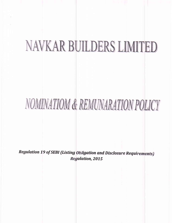# NAVKAR BUILDERS LIMITED

## NOMINATIOM & REMUNARATION POLICY

Regulation 19 of SEBI (Listing Obligation and Disclosure Requirements) **Regulation, 2015**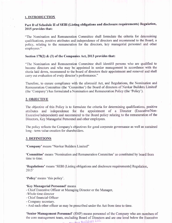#### 1. INTRODUCTION

## Part D of Schedule II of SEBI (Listing obligations and disclosure requirements) Regulation, 2015 provides that:

"The Nomination and Remuneration Committee shall formulate the criteria for determining qualifications, positive attributes and independence of directors and recommend to the Board, a policy, relating to the remuneration for the directors, key managerial personnel and other employees."

#### Section 178(2)  $\&$  (3) of the Companies Act, 2013 provides that:

"The Nomination and Remuneration Committee shall identifil persons who are qualified to become directors and who may be appointed in senior management in accordance with the riteria laid down, recommend to the board of directors their appointment and removal and shall carry out evaluation of evely director's performance."

Therefore, to ensure compliance with the aforesaid Act, and Regulations, the Nomination and Remuneration Committee (the 'Committee') the Board of directors of Navkar Builders Limited' (the 'Company') has formulated a Nomination and Remuneration Policy (the 'Policy').

#### 2. OBJECTIVE

The objective of this Policy is to formulate the criteria for determining qualifications, positive attributes and independence for the appointment of a Director (Executive/Non-Executive/Independent) and recommend to the Board policy relating to the remuneration of the Directors, Key Managerial Personnel and other employees.

The policy reflects the Company's objectives for good corporate governance as well as sustained long - term value creation for shareholders.

#### **3. DEFINITIONS**

'Company' means "Navkar Builders Limited"

'Committee' means 'Nomination and Remuneration Committee' as constituted by board from time to time.

'Regulations' means 'SEBI (Listing obligations and disclosure requirements] Regulation,  $2015'$ 

'Policy' means 'this policy'.

#### 'Key Managerial Personnel' means

- Chief Executive Officer or Managing Director or the Manager,
- -Whole time director
- Chief financial Officer
- Company secretary.
- And such other officer as may be prescribed under the Act from time to time.

'Senior Management Personnel' (SMP) means personnel of the Company who are members of the core management team, excluding Board of Directors and are one level below the Executive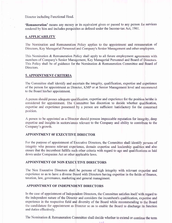Director including Functional Head.

'Remuneration' means any money or its equivalent given or passed to any person for services rendered by him and includes perquisites as defined under the Income-tax Act, 1961.

## **4. APPLICABILITY**

The Nomination and Remuneration Policy applies to the appointment and remuneration of Directors, Key Managerial Personnel and Company's Senior Management and other employees.

This Nomination & Remuneration Policy shall apply to all future employment agreements with members of Company's Senior Management, Key Managerial Personnel and Board of Directors. This Policy shall be of guidance for the Nomination & Remuneration Committee and Board of Directors.

## 5. APPOINTMENT CRITERIA

The Committee shall identify and ascertain the integrity, qualification, expertise and experience of the person for appointment as Director, KMP or at Senior Management level and recommend to the Board his/her appointment.

A person should posses adequate qualification, expertise and experience for the position he/she is considered for appointment. The Committee has discretion to decide whether qualification, expertise and experience possessed by a person are sufficient /satisfactory for the concerned position.

A person to be appointed as a Director should possess impeccable reputation for integrity, deep expertise and insights in sectors/areas relevant to the Company and ability to contribute to the Company's growth.

## **APPOINTMENT OF EXECUTIVE DIRECTOR**

For the purpose of appointment of Executive Directors, the Committee shall identify persons of integrity who possess relevant experience, domain expertise and leadership qualities and also ensure that the incumbent fulfills such other criteria with regard to age and qualifications as laid down under Companies Act or other applicable laws.

## **APPOINTMENT OF NON EXECUTIVE DIRECTORS**

The Non Executive Directors shall be persons of high integrity with relevant expertise and experience so as to have a diverse Board with Directors having expertise in the fields of finance, taxation, law, governance, marketing and general managiment.

## APPOINTMENT OF INDEPENDENT DIRECTORS

In the case of appointment of Independent Directors, the Committee satisfies itself with regard to the independent nature of the Director and considers the incumbent's qualification, expertise and experience in the respective field and diversity of the Board while recommending to the Board the candidature for appointment as Director so as to enable the Board to discharge its function and duties effectively.

The Nomination & Remuneration Committee shall decide whether to extend or continue the term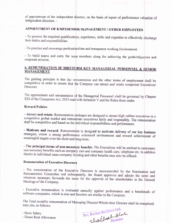of appointment of the independent director, on the basis of report of performance valuation of independent directors. -

## APPOINTMENT OF KMPZSENIOR MANAGEMENT / OTHER EMPLOYEES

- To possess the required qualifications, experience, skills and expertise to effectively discharge their duties and responsibilities.

- To practice and encourage professionalism and transparent working Environment.

- To build teams and carry the team members along for achieving the goals/objectives and corporate mission.

## 6. REMUNERATION OF DIRETORSI KEY MANAGERIAL PERSONNEL & SENIOR **MANAGEMENT**

The guiding principle is that the remuneration and the other terms of employment shall be competitive in order to ensure that the Company can attract and retain competent Executives/ Directors.

The appointment and remuneration of the Managerial Personnel shall be governed by Chapter XIII of the Companies Act, 2013 read with Schedule V and the Rules there under.

#### **Reward Policies**

- Attract and retain: Remuneration packages are designed to attract high caliber executives in a competitive global market and remunerate executives fairly and responsibly. The remuneration shall be competitive and based on the individual responsibilities and performance.

- Motivate and reward: Remuneration is designed to motivate delivery of our key business strategies, create a strong performance orientated environment and reward achievement of meaningful targets over the short-and long-term.

- The principal terms of non-monetary benefits: The Executives will be entitled to customary non-monetary benefits such as company cars and company health care, telephone etc. In addition thereto in individual cases company housing and other benefits may also be offered.

## **Remuneration of Executive Directors**

- The remuneration of the Executive Directors is recommended by the Nomination and Remuneration Committee and subsequently, the Board approves and adopts the same and wherever necessary forwards the same for the approval of the shareholders in the General Meetings of the Company.

- Executive remuneration is evaluated annually against performance and a benchmark of software companies, which in size and function are similar to the Company.

The Total monthly remuneration of Managing Director/Whole-time Director shall be comprised, inter alia, as follows:

- Basic Salary - House Rent Allowance

For, Navkar Builders Ltd.<br>Shalles Director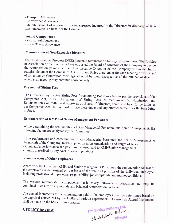- Transport Allowance
- Conveyance Allowance

- Reimbursement of any out of pocket expenses incurred by the Directors in discharge of their functions/duties on behalf of the Company.

#### **Annual Components:**

- Medical reimbursement
- Leave Travel Allowance

## **Remuneration of Non-Executive Directors**

The Non-Executive Directors [NEDs] are paid remuneration by way of Sitting Fees. The Articles of Association of the Company have entrusted the Board of Directors of the Company to decide the remuneration payable to the Non-Executive Directors of the Company within the limits permissible under the Companies Act, 2013 and Rules there under for each meeting of the Board of Directors or Committee Meetings attended by them irrespective of the number of days for which such meeting may continue consecutively.

## **Payment of Sitting Fees**

The Directors may receive Sitting Fees for attending Board meeting as per the provisions of the Companies Act, 2013. The amount of Sitting Fees, as recommend by Nomination and Remuneration Committee and approved by Board of Directors, shall be subject to the limits as per Companies Act, 2013 and rules made there under and any other enactment for the time being in force.

## **Remuneration of KMP and Senior Management Personnel**

While determining the remuneration of Key Managerial Personnel and Senior Management, the following factors are analyzed by the Committee:

- The performance and contributions of Key Managerial Personnel and Senior Management to the growth of the Company, Relative position in the organization and length of service.

- Company's performance and past remuneration paid to KMP/Senior Management.

- Limits prescribed by any Acts, rules or regulations.

## **Remuneration of Other employees**

Apart from the Directors, KMPs and Senior Management Personnel, the remuneration for rest of the employees is determined on the basis of the role and position of the individual employee, including professional experience, responsibility, job complexity and market conditions.

The various remuneration components, basic salary, allowances, perquisites etc. may be combined to ensure an appropriate and balanced remuneration package.

The annual increments to the remuneration paid to the employees shall be determined based on the appraisal carried out by the HODs of various departments. Decision on Annual Increments shall be made on the basis of this appraisal

## **7. POLICY REVIEW**

For, Navkar Builders Ltd.<br>Shoellsl Blue